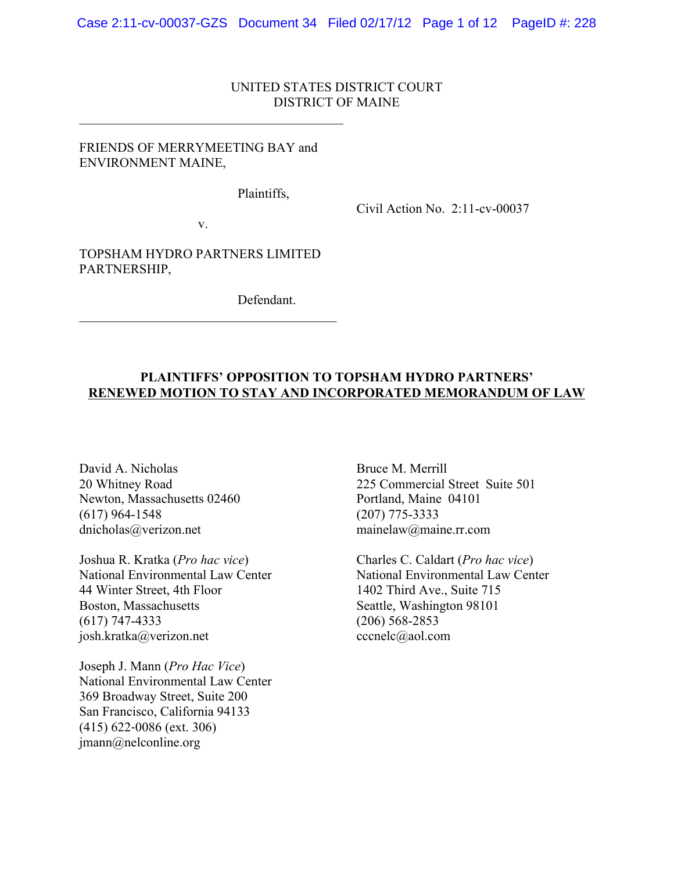### UNITED STATES DISTRICT COURT DISTRICT OF MAINE

# FRIENDS OF MERRYMEETING BAY and ENVIRONMENT MAINE,

 $\mathcal{L}_\text{max}$  , and the set of the set of the set of the set of the set of the set of the set of the set of the set of the set of the set of the set of the set of the set of the set of the set of the set of the set of the

Plaintiffs,

Civil Action No. 2:11-cv-00037

v.

TOPSHAM HYDRO PARTNERS LIMITED PARTNERSHIP,

 $\mathcal{L}_\text{max}$  and  $\mathcal{L}_\text{max}$  and  $\mathcal{L}_\text{max}$  and  $\mathcal{L}_\text{max}$ 

Defendant.

# **PLAINTIFFS' OPPOSITION TO TOPSHAM HYDRO PARTNERS' RENEWED MOTION TO STAY AND INCORPORATED MEMORANDUM OF LAW**

David A. Nicholas Bruce M. Merrill Newton, Massachusetts 02460 Portland, Maine 04101 (617) 964-1548 (207) 775-3333<br>dnicholas  $\omega$  verizon.net mainelaw  $\omega$  mainelaw  $\omega$  mainelaw  $\omega$  mainelaw  $\omega$  mainelaw  $\omega$  mainelaw  $\omega$  mainelaw  $\omega$  mainelaw  $\omega$  mainelaw  $\omega$  mainelaw  $\omega$  mainelaw  $\omega$  mainelaw

Joshua R. Kratka (*Pro hac vice*) Charles C. Caldart (*Pro hac vice*) 44 Winter Street, 4th Floor 1402 Third Ave., Suite 715 Boston, Massachusetts Seattle, Washington 98101 (617) 747-4333 (206) 568-2853 josh.kratka@verizon.net cccnelc@aol.com

Joseph J. Mann (*Pro Hac Vice*) National Environmental Law Center 369 Broadway Street, Suite 200 San Francisco, California 94133 (415) 622‐0086 (ext. 306) jmann@nelconline.org

20 Whitney Road 225 Commercial Street Suite 501  $mainelaw@maine.rr.com$ 

National Environmental Law Center National Environmental Law Center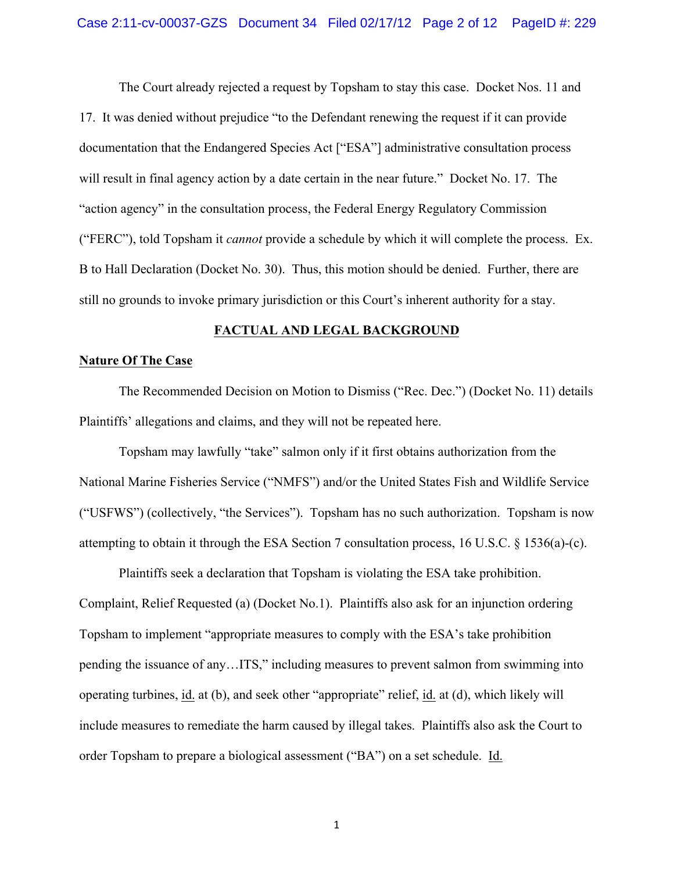The Court already rejected a request by Topsham to stay this case. Docket Nos. 11 and 17. It was denied without prejudice "to the Defendant renewing the request if it can provide documentation that the Endangered Species Act ["ESA"] administrative consultation process will result in final agency action by a date certain in the near future." Docket No. 17. The "action agency" in the consultation process, the Federal Energy Regulatory Commission ("FERC"), told Topsham it *cannot* provide a schedule by which it will complete the process. Ex. B to Hall Declaration (Docket No. 30). Thus, this motion should be denied. Further, there are still no grounds to invoke primary jurisdiction or this Court's inherent authority for a stay.

### **FACTUAL AND LEGAL BACKGROUND**

### **Nature Of The Case**

The Recommended Decision on Motion to Dismiss ("Rec. Dec.") (Docket No. 11) details Plaintiffs' allegations and claims, and they will not be repeated here.

Topsham may lawfully "take" salmon only if it first obtains authorization from the National Marine Fisheries Service ("NMFS") and/or the United States Fish and Wildlife Service ("USFWS") (collectively, "the Services"). Topsham has no such authorization. Topsham is now attempting to obtain it through the ESA Section 7 consultation process, 16 U.S.C. § 1536(a)-(c).

Plaintiffs seek a declaration that Topsham is violating the ESA take prohibition. Complaint, Relief Requested (a) (Docket No.1). Plaintiffs also ask for an injunction ordering Topsham to implement "appropriate measures to comply with the ESA's take prohibition pending the issuance of any…ITS," including measures to prevent salmon from swimming into operating turbines, id. at (b), and seek other "appropriate" relief, id. at (d), which likely will include measures to remediate the harm caused by illegal takes. Plaintiffs also ask the Court to order Topsham to prepare a biological assessment ("BA") on a set schedule. Id.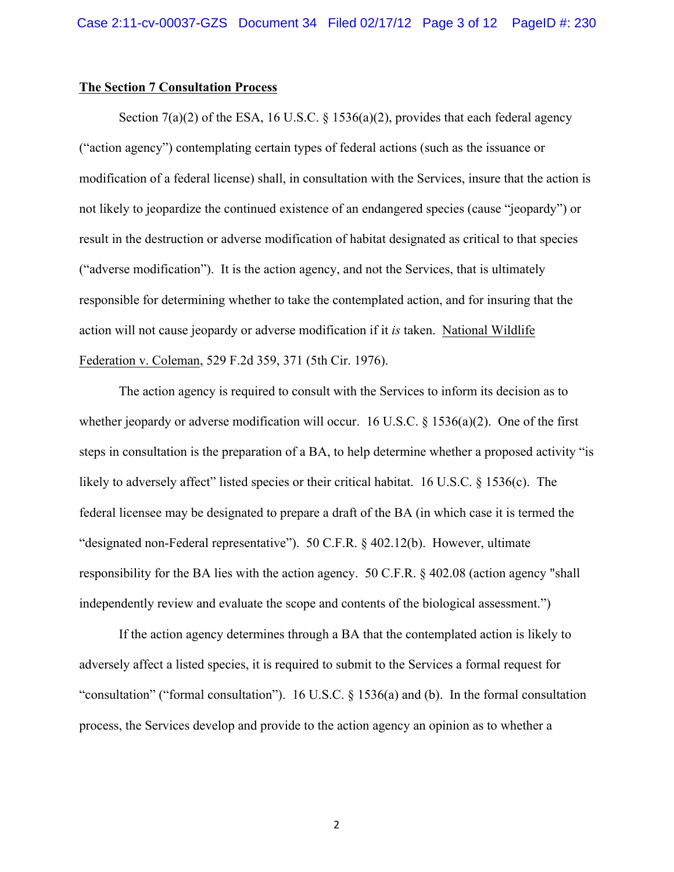#### **The Section 7 Consultation Process**

Section  $7(a)(2)$  of the ESA, 16 U.S.C. § 1536(a)(2), provides that each federal agency ("action agency") contemplating certain types of federal actions (such as the issuance or modification of a federal license) shall, in consultation with the Services, insure that the action is not likely to jeopardize the continued existence of an endangered species (cause "jeopardy") or result in the destruction or adverse modification of habitat designated as critical to that species ("adverse modification"). It is the action agency, and not the Services, that is ultimately responsible for determining whether to take the contemplated action, and for insuring that the action will not cause jeopardy or adverse modification if it *is* taken. National Wildlife Federation v. Coleman, 529 F.2d 359, 371 (5th Cir. 1976).

The action agency is required to consult with the Services to inform its decision as to whether jeopardy or adverse modification will occur. 16 U.S.C.  $\S$  1536(a)(2). One of the first steps in consultation is the preparation of a BA, to help determine whether a proposed activity "is likely to adversely affect" listed species or their critical habitat. 16 U.S.C. § 1536(c). The federal licensee may be designated to prepare a draft of the BA (in which case it is termed the "designated non-Federal representative"). 50 C.F.R. § 402.12(b). However, ultimate responsibility for the BA lies with the action agency. 50 C.F.R. § 402.08 (action agency "shall independently review and evaluate the scope and contents of the biological assessment.")

If the action agency determines through a BA that the contemplated action is likely to adversely affect a listed species, it is required to submit to the Services a formal request for "consultation" ("formal consultation"). 16 U.S.C. § 1536(a) and (b). In the formal consultation process, the Services develop and provide to the action agency an opinion as to whether a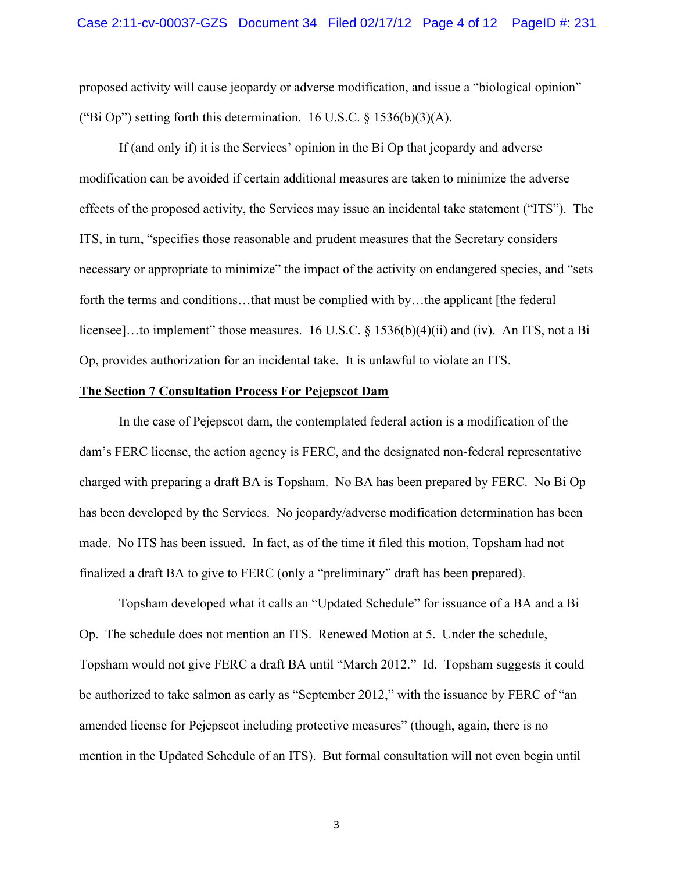proposed activity will cause jeopardy or adverse modification, and issue a "biological opinion" ("Bi Op") setting forth this determination. 16 U.S.C.  $\S$  1536(b)(3)(A).

If (and only if) it is the Services' opinion in the Bi Op that jeopardy and adverse modification can be avoided if certain additional measures are taken to minimize the adverse effects of the proposed activity, the Services may issue an incidental take statement ("ITS"). The ITS, in turn, "specifies those reasonable and prudent measures that the Secretary considers necessary or appropriate to minimize" the impact of the activity on endangered species, and "sets forth the terms and conditions...that must be complied with by...the applicant [the federal] licensee]...to implement" those measures. 16 U.S.C. § 1536(b)(4)(ii) and (iv). An ITS, not a Bi Op, provides authorization for an incidental take. It is unlawful to violate an ITS.

### **The Section 7 Consultation Process For Pejepscot Dam**

In the case of Pejepscot dam, the contemplated federal action is a modification of the dam's FERC license, the action agency is FERC, and the designated non-federal representative charged with preparing a draft BA is Topsham. No BA has been prepared by FERC. No Bi Op has been developed by the Services. No jeopardy/adverse modification determination has been made. No ITS has been issued. In fact, as of the time it filed this motion, Topsham had not finalized a draft BA to give to FERC (only a "preliminary" draft has been prepared).

Topsham developed what it calls an "Updated Schedule" for issuance of a BA and a Bi Op. The schedule does not mention an ITS. Renewed Motion at 5. Under the schedule, Topsham would not give FERC a draft BA until "March 2012." Id. Topsham suggests it could be authorized to take salmon as early as "September 2012," with the issuance by FERC of "an amended license for Pejepscot including protective measures" (though, again, there is no mention in the Updated Schedule of an ITS). But formal consultation will not even begin until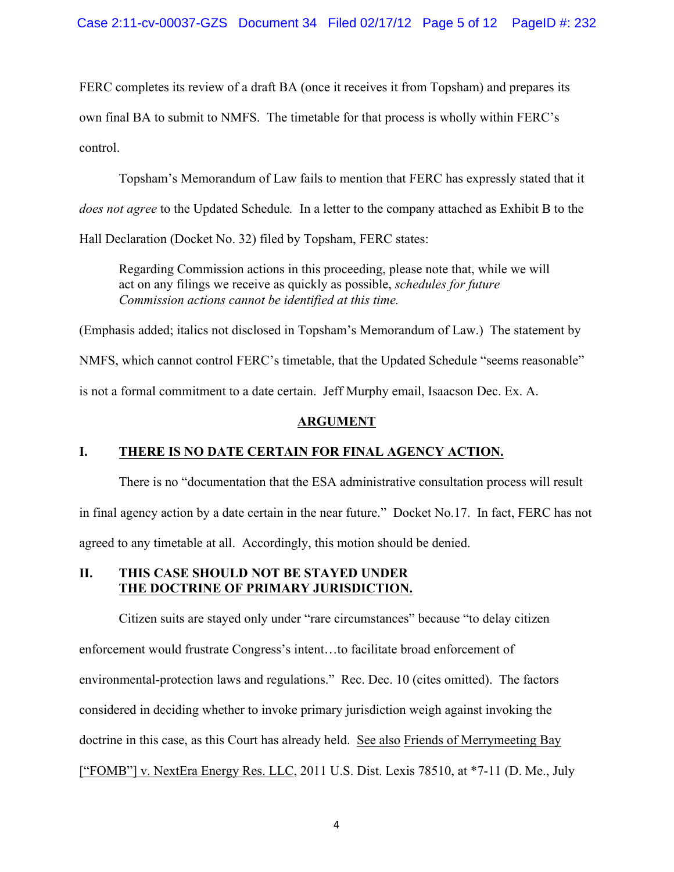FERC completes its review of a draft BA (once it receives it from Topsham) and prepares its own final BA to submit to NMFS. The timetable for that process is wholly within FERC's control.

Topsham's Memorandum of Law fails to mention that FERC has expressly stated that it *does not agree* to the Updated Schedule*.* In a letter to the company attached as Exhibit B to the Hall Declaration (Docket No. 32) filed by Topsham, FERC states:

Regarding Commission actions in this proceeding, please note that, while we will act on any filings we receive as quickly as possible, *schedules for future Commission actions cannot be identified at this time.*

(Emphasis added; italics not disclosed in Topsham's Memorandum of Law.) The statement by NMFS, which cannot control FERC's timetable, that the Updated Schedule "seems reasonable" is not a formal commitment to a date certain. Jeff Murphy email, Isaacson Dec. Ex. A.

# **ARGUMENT**

# **I. THERE IS NO DATE CERTAIN FOR FINAL AGENCY ACTION.**

There is no "documentation that the ESA administrative consultation process will result in final agency action by a date certain in the near future." Docket No.17. In fact, FERC has not agreed to any timetable at all. Accordingly, this motion should be denied.

### **II. THIS CASE SHOULD NOT BE STAYED UNDER THE DOCTRINE OF PRIMARY JURISDICTION.**

Citizen suits are stayed only under "rare circumstances" because "to delay citizen enforcement would frustrate Congress's intent…to facilitate broad enforcement of environmental-protection laws and regulations." Rec. Dec. 10 (cites omitted). The factors considered in deciding whether to invoke primary jurisdiction weigh against invoking the doctrine in this case, as this Court has already held. See also Friends of Merrymeeting Bay  $[$ "FOMB"] v. NextEra Energy Res. LLC, 2011 U.S. Dist. Lexis 78510, at  $*7-11$  (D. Me., July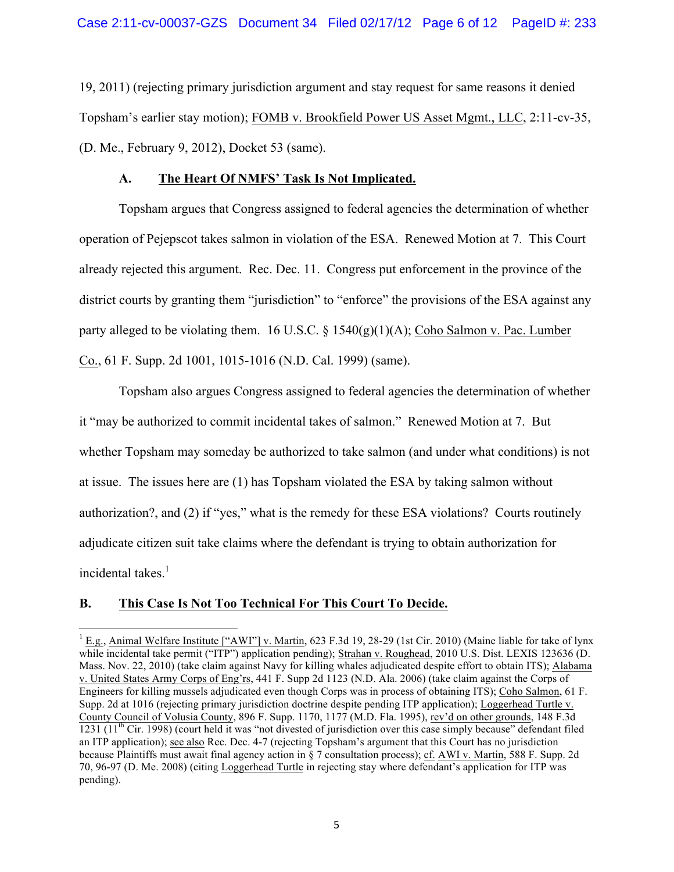19, 2011) (rejecting primary jurisdiction argument and stay request for same reasons it denied Topsham's earlier stay motion); FOMB v. Brookfield Power US Asset Mgmt., LLC, 2:11-cv-35, (D. Me., February 9, 2012), Docket 53 (same).

# **A. The Heart Of NMFS' Task Is Not Implicated.**

Topsham argues that Congress assigned to federal agencies the determination of whether operation of Pejepscot takes salmon in violation of the ESA. Renewed Motion at 7. This Court already rejected this argument. Rec. Dec. 11. Congress put enforcement in the province of the district courts by granting them "jurisdiction" to "enforce" the provisions of the ESA against any party alleged to be violating them. 16 U.S.C.  $\S$  1540(g)(1)(A); Coho Salmon v. Pac. Lumber Co., 61 F. Supp. 2d 1001, 1015-1016 (N.D. Cal. 1999) (same).

Topsham also argues Congress assigned to federal agencies the determination of whether it "may be authorized to commit incidental takes of salmon." Renewed Motion at 7. But whether Topsham may someday be authorized to take salmon (and under what conditions) is not at issue. The issues here are (1) has Topsham violated the ESA by taking salmon without authorization?, and (2) if "yes," what is the remedy for these ESA violations? Courts routinely adjudicate citizen suit take claims where the defendant is trying to obtain authorization for incidental takes.<sup>1</sup>

# **B. This Case Is Not Too Technical For This Court To Decide.**

<u> 1989 - Johann Stein, markin film yn y breninn y breninn y breninn y breninn y breninn y breninn y breninn y b</u>

<sup>&</sup>lt;sup>1</sup> E.g., Animal Welfare Institute ["AWI"] v. Martin, 623 F.3d 19, 28-29 (1st Cir. 2010) (Maine liable for take of lynx while incidental take permit ("ITP") application pending); Strahan v. Roughead, 2010 U.S. Dist. LEXIS 123636 (D. Mass. Nov. 22, 2010) (take claim against Navy for killing whales adjudicated despite effort to obtain ITS); Alabama v. United States Army Corps of Eng'rs, 441 F. Supp 2d 1123 (N.D. Ala. 2006) (take claim against the Corps of Engineers for killing mussels adjudicated even though Corps was in process of obtaining ITS); Coho Salmon, 61 F. Supp. 2d at 1016 (rejecting primary jurisdiction doctrine despite pending ITP application); Loggerhead Turtle v. County Council of Volusia County, 896 F. Supp. 1170, 1177 (M.D. Fla. 1995), rev'd on other grounds, 148 F.3d  $1231$  ( $11<sup>th</sup>$  Cir. 1998) (court held it was "not divested of jurisdiction over this case simply because" defendant filed an ITP application); see also Rec. Dec. 4-7 (rejecting Topsham's argument that this Court has no jurisdiction because Plaintiffs must await final agency action in § 7 consultation process); cf. AWI v. Martin, 588 F. Supp. 2d 70, 96-97 (D. Me. 2008) (citing Loggerhead Turtle in rejecting stay where defendant's application for ITP was pending).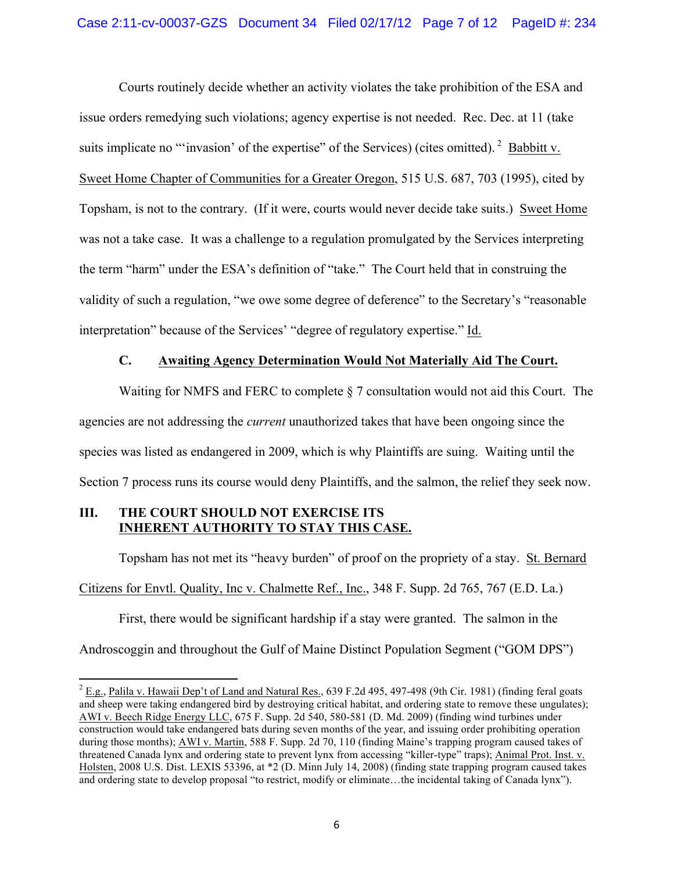Courts routinely decide whether an activity violates the take prohibition of the ESA and issue orders remedying such violations; agency expertise is not needed. Rec. Dec. at 11 (take suits implicate no "'invasion' of the expertise" of the Services) (cites omitted).  $2$  Babbitt v. Sweet Home Chapter of Communities for a Greater Oregon, 515 U.S. 687, 703 (1995), cited by Topsham, is not to the contrary. (If it were, courts would never decide take suits.) Sweet Home was not a take case. It was a challenge to a regulation promulgated by the Services interpreting the term "harm" under the ESA's definition of "take." The Court held that in construing the validity of such a regulation, "we owe some degree of deference" to the Secretary's "reasonable interpretation" because of the Services' "degree of regulatory expertise." Id.

# **C. Awaiting Agency Determination Would Not Materially Aid The Court.**

Waiting for NMFS and FERC to complete § 7 consultation would not aid this Court. The agencies are not addressing the *current* unauthorized takes that have been ongoing since the species was listed as endangered in 2009, which is why Plaintiffs are suing. Waiting until the Section 7 process runs its course would deny Plaintiffs, and the salmon, the relief they seek now.

# **III. THE COURT SHOULD NOT EXERCISE ITS INHERENT AUTHORITY TO STAY THIS CASE.**

Topsham has not met its "heavy burden" of proof on the propriety of a stay. St. Bernard Citizens for Envtl. Quality, Inc v. Chalmette Ref., Inc., 348 F. Supp. 2d 765, 767 (E.D. La.)

First, there would be significant hardship if a stay were granted. The salmon in the Androscoggin and throughout the Gulf of Maine Distinct Population Segment ("GOM DPS")

 $^{2}$  E.g., Palila v. Hawaii Dep't of Land and Natural Res., 639 F.2d 495, 497-498 (9th Cir. 1981) (finding feral goats and sheep were taking endangered bird by destroying critical habitat, and ordering state to remove these ungulates); AWI v. Beech Ridge Energy LLC, 675 F. Supp. 2d 540, 580-581 (D. Md. 2009) (finding wind turbines under construction would take endangered bats during seven months of the year, and issuing order prohibiting operation during those months); AWI v. Martin, 588 F. Supp. 2d 70, 110 (finding Maine's trapping program caused takes of threatened Canada lynx and ordering state to prevent lynx from accessing "killer-type" traps); Animal Prot. Inst. v. Holsten, 2008 U.S. Dist. LEXIS 53396, at \*2 (D. Minn July 14, 2008) (finding state trapping program caused takes and ordering state to develop proposal "to restrict, modify or eliminate…the incidental taking of Canada lynx").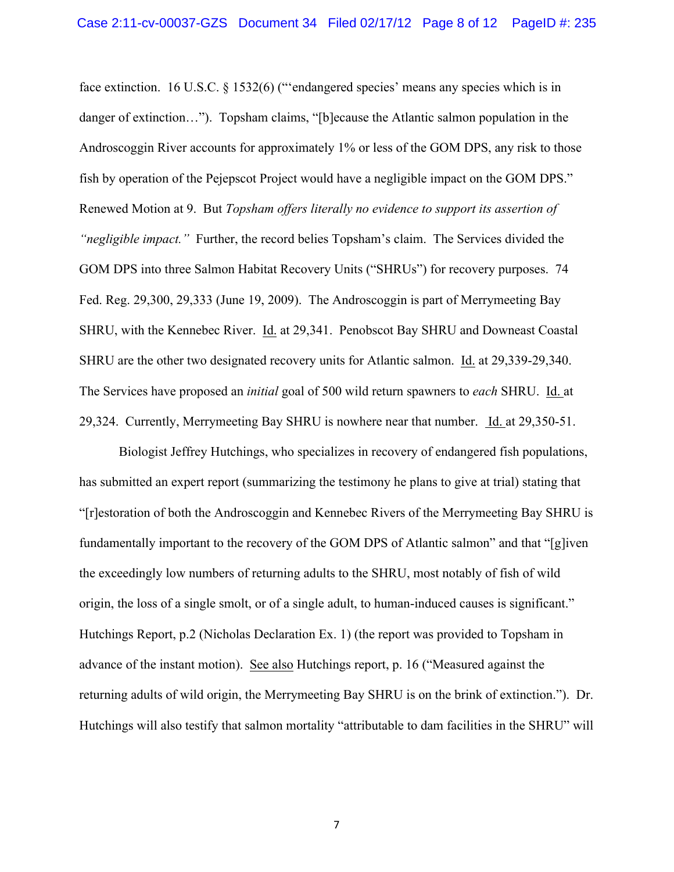face extinction. 16 U.S.C. § 1532(6) ("endangered species' means any species which is in danger of extinction…"). Topsham claims, "[b]ecause the Atlantic salmon population in the Androscoggin River accounts for approximately 1% or less of the GOM DPS, any risk to those fish by operation of the Pejepscot Project would have a negligible impact on the GOM DPS." Renewed Motion at 9. But *Topsham offers literally no evidence to support its assertion of "negligible impact."* Further, the record belies Topsham's claim. The Services divided the GOM DPS into three Salmon Habitat Recovery Units ("SHRUs") for recovery purposes. 74 Fed. Reg. 29,300, 29,333 (June 19, 2009). The Androscoggin is part of Merrymeeting Bay SHRU, with the Kennebec River. Id. at 29,341. Penobscot Bay SHRU and Downeast Coastal SHRU are the other two designated recovery units for Atlantic salmon. Id. at 29,339-29,340. The Services have proposed an *initial* goal of 500 wild return spawners to *each* SHRU. Id. at 29,324. Currently, Merrymeeting Bay SHRU is nowhere near that number. Id. at 29,350-51.

Biologist Jeffrey Hutchings, who specializes in recovery of endangered fish populations, has submitted an expert report (summarizing the testimony he plans to give at trial) stating that "[r]estoration of both the Androscoggin and Kennebec Rivers of the Merrymeeting Bay SHRU is fundamentally important to the recovery of the GOM DPS of Atlantic salmon" and that "[g]iven the exceedingly low numbers of returning adults to the SHRU, most notably of fish of wild origin, the loss of a single smolt, or of a single adult, to human-induced causes is significant." Hutchings Report, p.2 (Nicholas Declaration Ex. 1) (the report was provided to Topsham in advance of the instant motion). See also Hutchings report, p. 16 ("Measured against the returning adults of wild origin, the Merrymeeting Bay SHRU is on the brink of extinction."). Dr. Hutchings will also testify that salmon mortality "attributable to dam facilities in the SHRU" will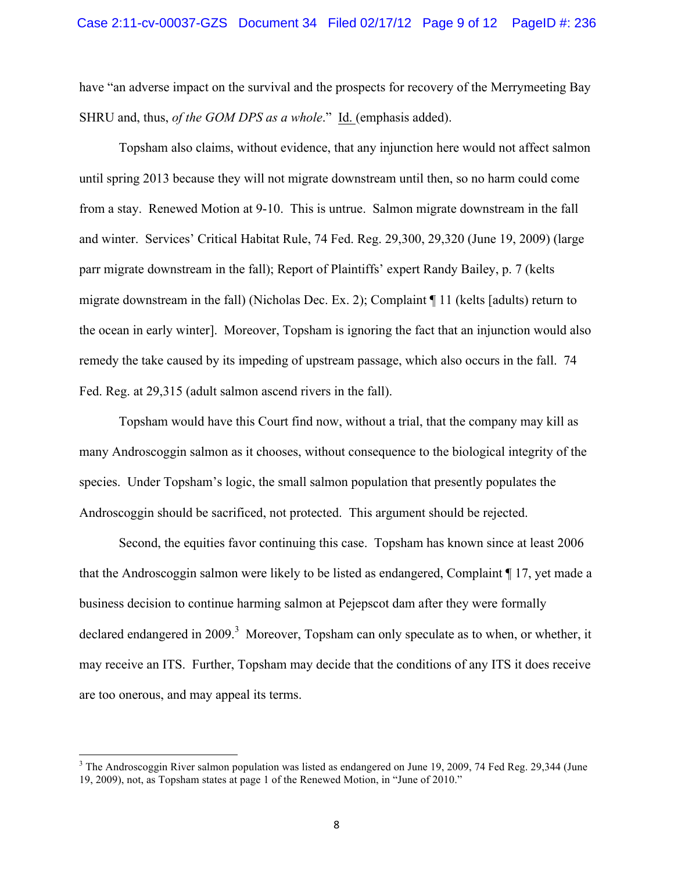have "an adverse impact on the survival and the prospects for recovery of the Merrymeeting Bay SHRU and, thus, *of the GOM DPS as a whole*." Id. (emphasis added).

Topsham also claims, without evidence, that any injunction here would not affect salmon until spring 2013 because they will not migrate downstream until then, so no harm could come from a stay. Renewed Motion at 9-10. This is untrue. Salmon migrate downstream in the fall and winter. Services' Critical Habitat Rule, 74 Fed. Reg. 29,300, 29,320 (June 19, 2009) (large parr migrate downstream in the fall); Report of Plaintiffs' expert Randy Bailey, p. 7 (kelts migrate downstream in the fall) (Nicholas Dec. Ex. 2); Complaint ¶ 11 (kelts [adults) return to the ocean in early winter]. Moreover, Topsham is ignoring the fact that an injunction would also remedy the take caused by its impeding of upstream passage, which also occurs in the fall. 74 Fed. Reg. at 29,315 (adult salmon ascend rivers in the fall).

Topsham would have this Court find now, without a trial, that the company may kill as many Androscoggin salmon as it chooses, without consequence to the biological integrity of the species. Under Topsham's logic, the small salmon population that presently populates the Androscoggin should be sacrificed, not protected. This argument should be rejected.

Second, the equities favor continuing this case. Topsham has known since at least 2006 that the Androscoggin salmon were likely to be listed as endangered, Complaint ¶ 17, yet made a business decision to continue harming salmon at Pejepscot dam after they were formally declared endangered in 2009.<sup>3</sup> Moreover, Topsham can only speculate as to when, or whether, it may receive an ITS. Further, Topsham may decide that the conditions of any ITS it does receive are too onerous, and may appeal its terms.

<u> 1989 - Johann Stein, markin film yn y breninn y breninn y breninn y breninn y breninn y breninn y breninn y b</u>

 $3$  The Androscoggin River salmon population was listed as endangered on June 19, 2009, 74 Fed Reg. 29,344 (June 19, 2009), not, as Topsham states at page 1 of the Renewed Motion, in "June of 2010."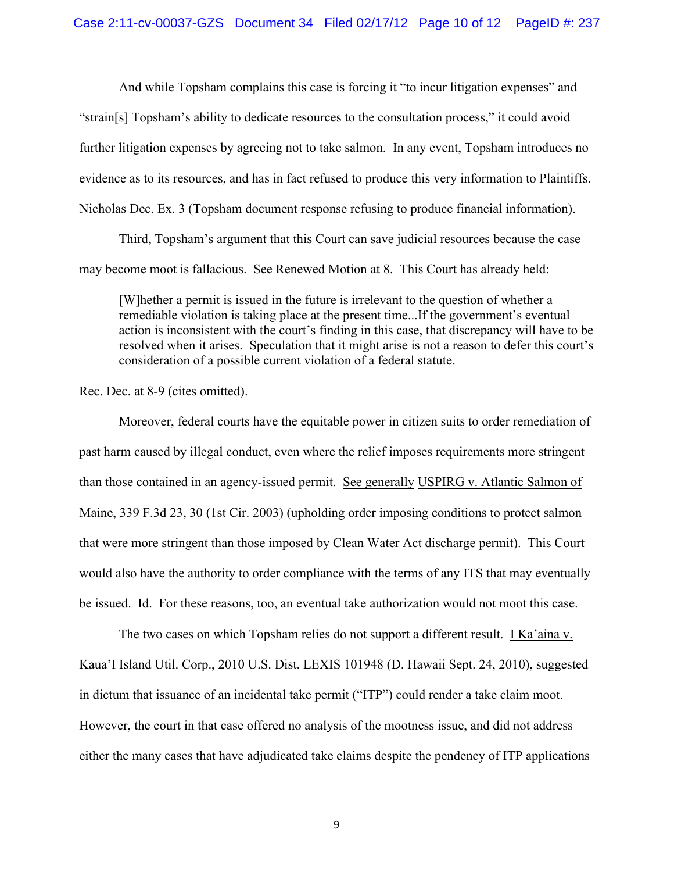And while Topsham complains this case is forcing it "to incur litigation expenses" and "strain[s] Topsham's ability to dedicate resources to the consultation process," it could avoid further litigation expenses by agreeing not to take salmon. In any event, Topsham introduces no evidence as to its resources, and has in fact refused to produce this very information to Plaintiffs. Nicholas Dec. Ex. 3 (Topsham document response refusing to produce financial information).

Third, Topsham's argument that this Court can save judicial resources because the case may become moot is fallacious. See Renewed Motion at 8. This Court has already held:

[W]hether a permit is issued in the future is irrelevant to the question of whether a remediable violation is taking place at the present time...If the government's eventual action is inconsistent with the court's finding in this case, that discrepancy will have to be resolved when it arises. Speculation that it might arise is not a reason to defer this court's consideration of a possible current violation of a federal statute.

Rec. Dec. at 8-9 (cites omitted).

Moreover, federal courts have the equitable power in citizen suits to order remediation of past harm caused by illegal conduct, even where the relief imposes requirements more stringent than those contained in an agency-issued permit. See generally USPIRG v. Atlantic Salmon of Maine, 339 F.3d 23, 30 (1st Cir. 2003) (upholding order imposing conditions to protect salmon that were more stringent than those imposed by Clean Water Act discharge permit). This Court would also have the authority to order compliance with the terms of any ITS that may eventually be issued. Id. For these reasons, too, an eventual take authorization would not moot this case.

The two cases on which Topsham relies do not support a different result. I Ka'aina v. Kaua'I Island Util. Corp., 2010 U.S. Dist. LEXIS 101948 (D. Hawaii Sept. 24, 2010), suggested in dictum that issuance of an incidental take permit ("ITP") could render a take claim moot. However, the court in that case offered no analysis of the mootness issue, and did not address either the many cases that have adjudicated take claims despite the pendency of ITP applications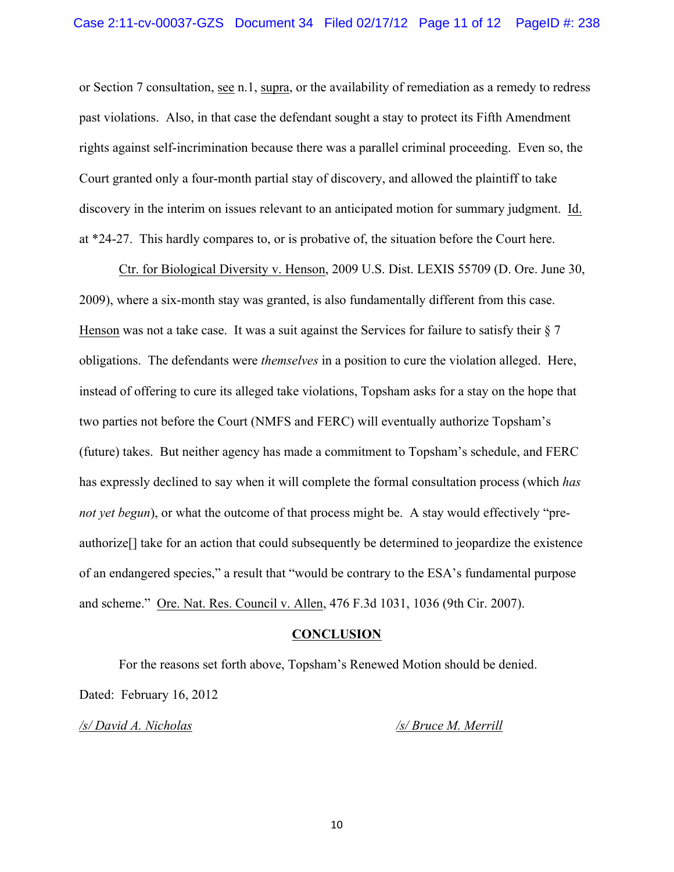or Section 7 consultation, see n.1, supra, or the availability of remediation as a remedy to redress past violations. Also, in that case the defendant sought a stay to protect its Fifth Amendment rights against self-incrimination because there was a parallel criminal proceeding. Even so, the Court granted only a four-month partial stay of discovery, and allowed the plaintiff to take discovery in the interim on issues relevant to an anticipated motion for summary judgment. Id. at \*24-27. This hardly compares to, or is probative of, the situation before the Court here.

Ctr. for Biological Diversity v. Henson, 2009 U.S. Dist. LEXIS 55709 (D. Ore. June 30, 2009), where a six-month stay was granted, is also fundamentally different from this case. Henson was not a take case. It was a suit against the Services for failure to satisfy their  $\S 7$ obligations. The defendants were *themselves* in a position to cure the violation alleged. Here, instead of offering to cure its alleged take violations, Topsham asks for a stay on the hope that two parties not before the Court (NMFS and FERC) will eventually authorize Topsham's (future) takes. But neither agency has made a commitment to Topsham's schedule, and FERC has expressly declined to say when it will complete the formal consultation process (which *has not yet begun*), or what the outcome of that process might be. A stay would effectively "preauthorize[] take for an action that could subsequently be determined to jeopardize the existence of an endangered species," a result that "would be contrary to the ESA's fundamental purpose and scheme." Ore. Nat. Res. Council v. Allen, 476 F.3d 1031, 1036 (9th Cir. 2007).

#### **CONCLUSION**

For the reasons set forth above, Topsham's Renewed Motion should be denied. Dated: February 16, 2012

*/s/ David A. Nicholas /s/ Bruce M. Merrill*